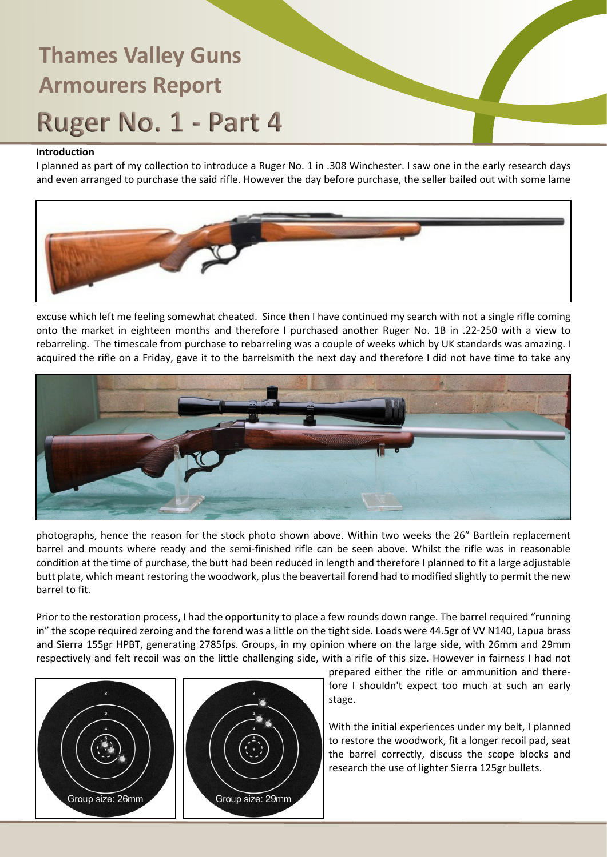### **Introduction**

I planned as part of my collection to introduce a Ruger No. 1 in .308 Winchester. I saw one in the early research days and even arranged to purchase the said rifle. However the day before purchase, the seller bailed out with some lame



excuse which left me feeling somewhat cheated. Since then I have continued my search with not a single rifle coming onto the market in eighteen months and therefore I purchased another Ruger No. 1B in .22-250 with a view to rebarreling. The timescale from purchase to rebarreling was a couple of weeks which by UK standards was amazing. I acquired the rifle on a Friday, gave it to the barrelsmith the next day and therefore I did not have time to take any



photographs, hence the reason for the stock photo shown above. Within two weeks the 26" Bartlein replacement barrel and mounts where ready and the semi-finished rifle can be seen above. Whilst the rifle was in reasonable condition at the time of purchase, the butt had been reduced in length and therefore I planned to fit a large adjustable butt plate, which meant restoring the woodwork, plus the beavertail forend had to modified slightly to permit the new barrel to fit.

Prior to the restoration process, I had the opportunity to place a few rounds down range. The barrel required "running in" the scope required zeroing and the forend was a little on the tight side. Loads were 44.5gr of VV N140, Lapua brass and Sierra 155gr HPBT, generating 2785fps. Groups, in my opinion where on the large side, with 26mm and 29mm respectively and felt recoil was on the little challenging side, with a rifle of this size. However in fairness I had not





prepared either the rifle or ammunition and therefore I shouldn't expect too much at such an early stage.

With the initial experiences under my belt, I planned to restore the woodwork, fit a longer recoil pad, seat the barrel correctly, discuss the scope blocks and research the use of lighter Sierra 125gr bullets.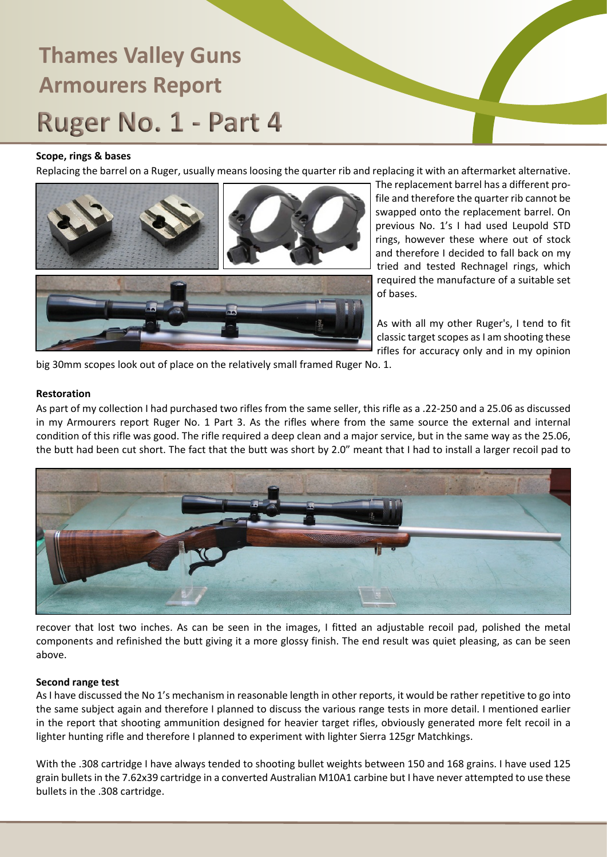#### **Scope, rings & bases**

Replacing the barrel on a Ruger, usually means loosing the quarter rib and replacing it with an aftermarket alternative.



The replacement barrel has a different profile and therefore the quarter rib cannot be swapped onto the replacement barrel. On previous No. 1's I had used Leupold STD rings, however these where out of stock and therefore I decided to fall back on my tried and tested Rechnagel rings, which required the manufacture of a suitable set of bases.

As with all my other Ruger's, I tend to fit classic target scopes as I am shooting these rifles for accuracy only and in my opinion

big 30mm scopes look out of place on the relatively small framed Ruger No. 1.

#### **Restoration**

As part of my collection I had purchased two rifles from the same seller, this rifle as a .22-250 and a 25.06 as discussed in my Armourers report Ruger No. 1 Part 3. As the rifles where from the same source the external and internal condition of this rifle was good. The rifle required a deep clean and a major service, but in the same way as the 25.06, the butt had been cut short. The fact that the butt was short by 2.0" meant that I had to install a larger recoil pad to



recover that lost two inches. As can be seen in the images, I fitted an adjustable recoil pad, polished the metal components and refinished the butt giving it a more glossy finish. The end result was quiet pleasing, as can be seen above.

#### **Second range test**

As I have discussed the No 1's mechanism in reasonable length in other reports, it would be rather repetitive to go into the same subject again and therefore I planned to discuss the various range tests in more detail. I mentioned earlier in the report that shooting ammunition designed for heavier target rifles, obviously generated more felt recoil in a lighter hunting rifle and therefore I planned to experiment with lighter Sierra 125gr Matchkings.

With the .308 cartridge I have always tended to shooting bullet weights between 150 and 168 grains. I have used 125 grain bullets in the 7.62x39 cartridge in a converted Australian M10A1 carbine but I have never attempted to use these bullets in the .308 cartridge.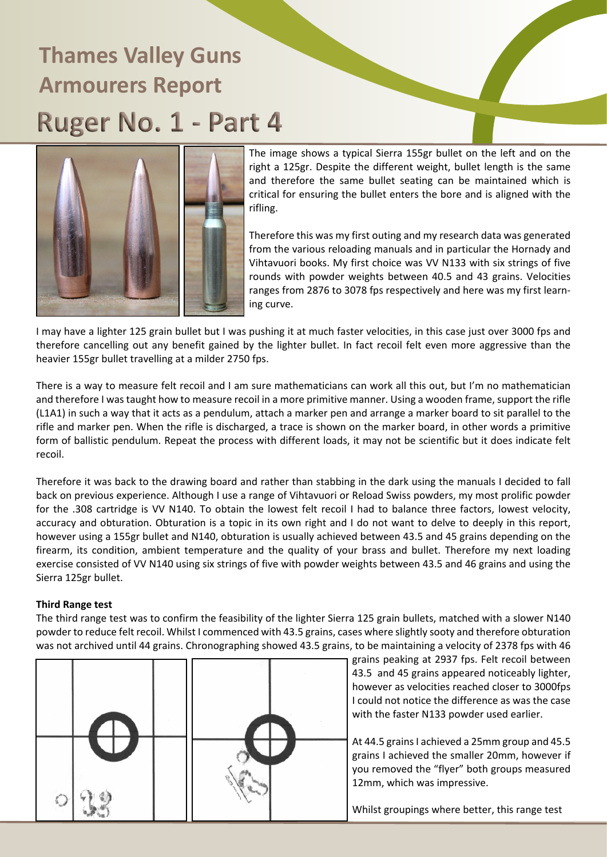

The image shows a typical Sierra 155gr bullet on the left and on the right a 125gr. Despite the different weight, bullet length is the same and therefore the same bullet seating can be maintained which is critical for ensuring the bullet enters the bore and is aligned with the rifling.

Therefore this was my first outing and my research data was generated from the various reloading manuals and in particular the Hornady and Vihtavuori books. My first choice was VV N133 with six strings of five rounds with powder weights between 40.5 and 43 grains. Velocities ranges from 2876 to 3078 fps respectively and here was my first learning curve.

I may have a lighter 125 grain bullet but I was pushing it at much faster velocities, in this case just over 3000 fps and therefore cancelling out any benefit gained by the lighter bullet. In fact recoil felt even more aggressive than the heavier 155gr bullet travelling at a milder 2750 fps.

There is a way to measure felt recoil and I am sure mathematicians can work all this out, but I'm no mathematician and therefore I was taught how to measure recoil in a more primitive manner. Using a wooden frame, support the rifle (L1A1) in such a way that it acts as a pendulum, attach a marker pen and arrange a marker board to sit parallel to the rifle and marker pen. When the rifle is discharged, a trace is shown on the marker board, in other words a primitive form of ballistic pendulum. Repeat the process with different loads, it may not be scientific but it does indicate felt recoil.

Therefore it was back to the drawing board and rather than stabbing in the dark using the manuals I decided to fall back on previous experience. Although I use a range of Vihtavuori or Reload Swiss powders, my most prolific powder for the .308 cartridge is VV N140. To obtain the lowest felt recoil I had to balance three factors, lowest velocity, accuracy and obturation. Obturation is a topic in its own right and I do not want to delve to deeply in this report, however using a 155gr bullet and N140, obturation is usually achieved between 43.5 and 45 grains depending on the firearm, its condition, ambient temperature and the quality of your brass and bullet. Therefore my next loading exercise consisted of VV N140 using six strings of five with powder weights between 43.5 and 46 grains and using the Sierra 125gr bullet.

#### **Third Range test**

The third range test was to confirm the feasibility of the lighter Sierra 125 grain bullets, matched with a slower N140 powder to reduce felt recoil. Whilst I commenced with 43.5 grains, cases where slightly sooty and therefore obturation was not archived until 44 grains. Chronographing showed 43.5 grains, to be maintaining a velocity of 2378 fps with 46



grains peaking at 2937 fps. Felt recoil between 43.5 and 45 grains appeared noticeably lighter, however as velocities reached closer to 3000fps I could not notice the difference as was the case with the faster N133 powder used earlier.

At 44.5 grains I achieved a 25mm group and 45.5 grains I achieved the smaller 20mm, however if you removed the "flyer" both groups measured 12mm, which was impressive.

Whilst groupings where better, this range test